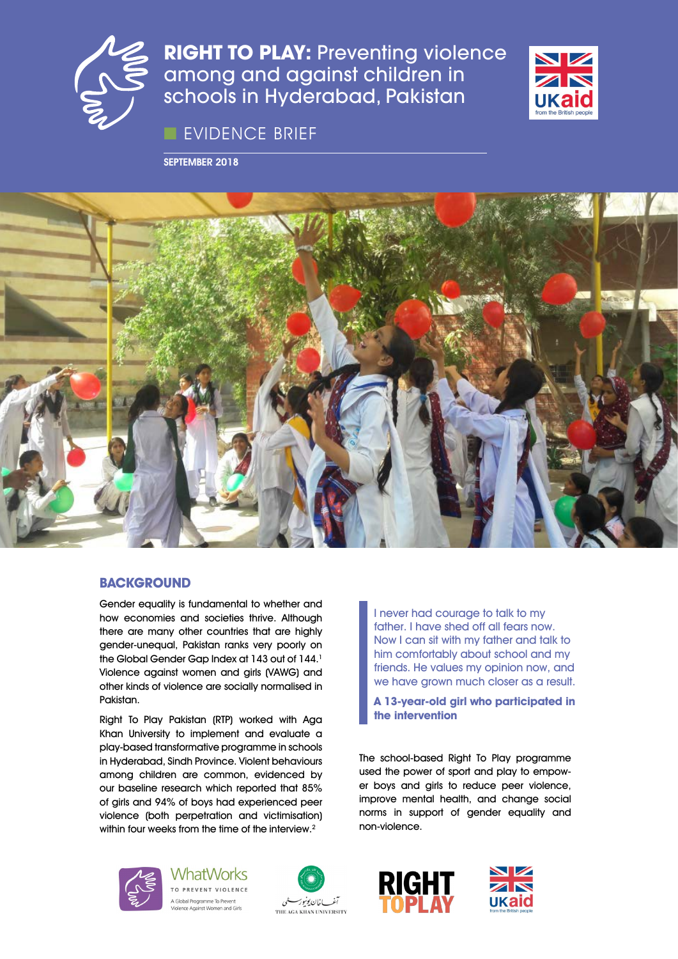

**RIGHT TO PLAY: Preventing violence** among and against children in schools in Hyderabad, Pakistan

■ EVIDENCE BRIEF

SEPTEMBER 2018





# **BACKGROUND**

Gender equality is fundamental to whether and how economies and societies thrive. Although there are many other countries that are highly gender-unequal, Pakistan ranks very poorly on the Global Gender Gap Index at 143 out of 144.<sup>1</sup> Violence against women and girls (VAWG) and other kinds of violence are socially normalised in Pakistan.

Right To Play Pakistan (RTP) worked with Aga Khan University to implement and evaluate a play-based transformative programme in schools in Hyderabad, Sindh Province. Violent behaviours among children are common, evidenced by our baseline research which reported that 85% of girls and 94% of boys had experienced peer violence (both perpetration and victimisation) within four weeks from the time of the interview.<sup>2</sup>

I never had courage to talk to my father. I have shed off all fears now. Now I can sit with my father and talk to him comfortably about school and my friends. He values my opinion now, and we have grown much closer as a result.

**A 13-year-old girl who participated in the intervention**

The school-based Right To Play programme used the power of sport and play to empower boys and girls to reduce peer violence, improve mental health, and change social norms in support of gender equality and non-violence.



**WhatWorks** TO PREVENT VIOLENCE A Global Programme To Prevent





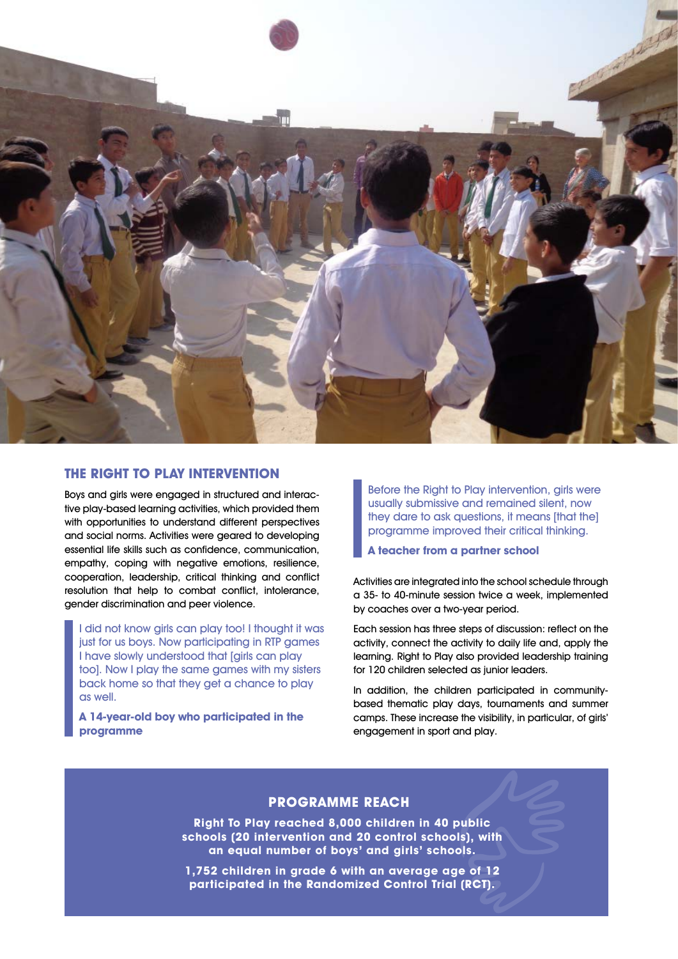

# **THE RIGHT TO PLAY INTERVENTION**

Boys and girls were engaged in structured and interactive play-based learning activities, which provided them with opportunities to understand different perspectives and social norms. Activities were geared to developing essential life skills such as confidence, communication, empathy, coping with negative emotions, resilience, cooperation, leadership, critical thinking and conflict resolution that help to combat conflict, intolerance, gender discrimination and peer violence.

I did not know girls can play too! I thought it was just for us boys. Now participating in RTP games I have slowly understood that [girls can play too]. Now I play the same games with my sisters back home so that they get a chance to play as well.

**A 14-year-old boy who participated in the programme**

Before the Right to Play intervention, girls were usually submissive and remained silent, now they dare to ask questions, it means [that the] programme improved their critical thinking.

**A teacher from a partner school**

Activities are integrated into the school schedule through a 35- to 40-minute session twice a week, implemented by coaches over a two-year period.

Each session has three steps of discussion: reflect on the activity, connect the activity to daily life and, apply the learning. Right to Play also provided leadership training for 120 children selected as junior leaders.

In addition, the children participated in communitybased thematic play days, tournaments and summer camps. These increase the visibility, in particular, of girls' engagement in sport and play.

# **PROGRAMME REACH**

**Right To Play reached 8,000 children in 40 public schools (20 intervention and 20 control schools), with an equal number of boys' and girls' schools.**

**1,752 children in grade 6 with an average age of 12 participated in the Randomized Control Trial (RCT).**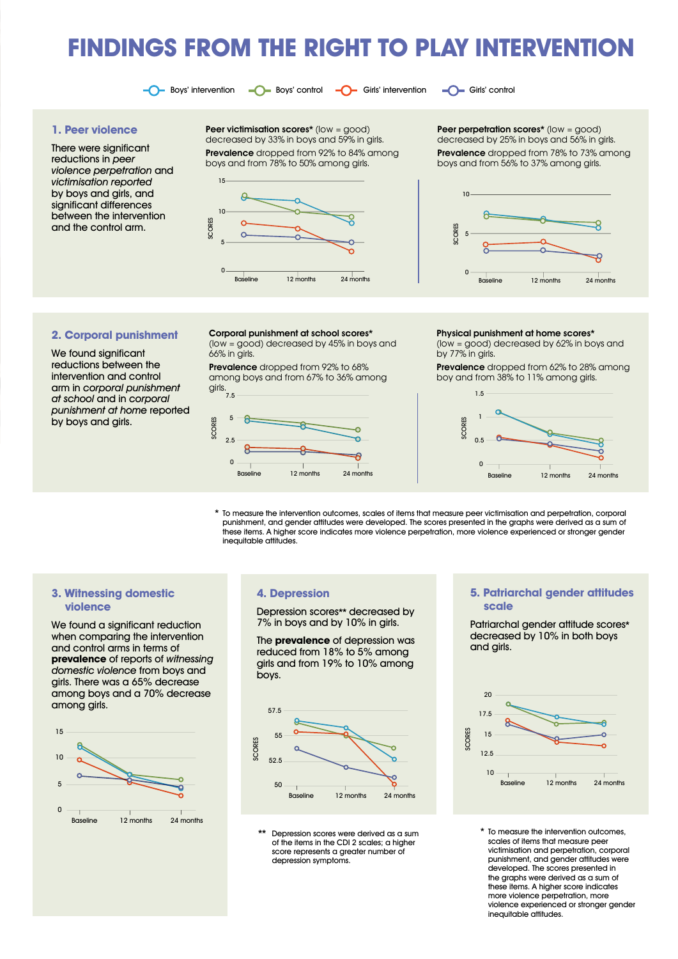# **FINDINGS FROM THE RIGHT TO PLAY INTERVENTION**

 $\bigcirc$  Boys' intervention  $\bigcirc$  Boys' control  $\bigcirc$  Girls' intervention  $\bigcirc$  Girls' control

#### **1. Peer violence**

There were significant reductions in peer violence perpetration and victimisation reported by boys and girls, and significant differences between the intervention and the control arm.

Peer victimisation scores\* (low = good) decreased by 33% in boys and 59% in girls. Prevalence dropped from 92% to 84% among boys and from 78% to 50% among girls.



Peer perpetration scores\* (low = good) decreased by 25% in boys and 56% in girls. Prevalence dropped from 78% to 73% among boys and from 56% to 37% among girls.



#### **2. Corporal punishment**

We found significant reductions between the intervention and control arm in corporal punishment at school and in corporal punishment at home reported by boys and girls.

Corporal punishment at school scores\* (low = good) decreased by 45% in boys and

66% in girls. Prevalence dropped from 92% to 68%

among boys and from 67% to 36% among girls.



Physical punishment at home scores\*

(low = good) decreased by 62% in boys and by 77% in girls.

Prevalence dropped from 62% to 28% among boy and from 38% to 11% among girls.



\* To measure the intervention outcomes, scales of items that measure peer victimisation and perpetration, corporal punishment, and gender attitudes were developed. The scores presented in the graphs were derived as a sum of these items. A higher score indicates more violence perpetration, more violence experienced or stronger gender inequitable attitudes.

## **3. Witnessing domestic violence**

We found a significant reduction when comparing the intervention and control arms in terms of **prevalence** of reports of witnessing domestic violence from boys and girls. There was a 65% decrease among boys and a 70% decrease among girls.



**4. Depression** 

Depression scores\*\* decreased by 7% in boys and by 10% in girls.

The **prevalence** of depression was reduced from 18% to 5% among girls and from 19% to 10% among boys.



Depression scores were derived as a sum of the items in the CDI 2 scales; a higher score represents a greater number of depression symptoms.

#### **5. Patriarchal gender attitudes scale**

Patriarchal gender attitude scores\* decreased by 10% in both boys and girls.



To measure the intervention outcomes. scales of items that measure peer victimisation and perpetration, corporal punishment, and gender attitudes were developed. The scores presented in the graphs were derived as a sum of these items. A higher score indicates more violence perpetration, more violence experienced or stronger gender inequitable attitudes.